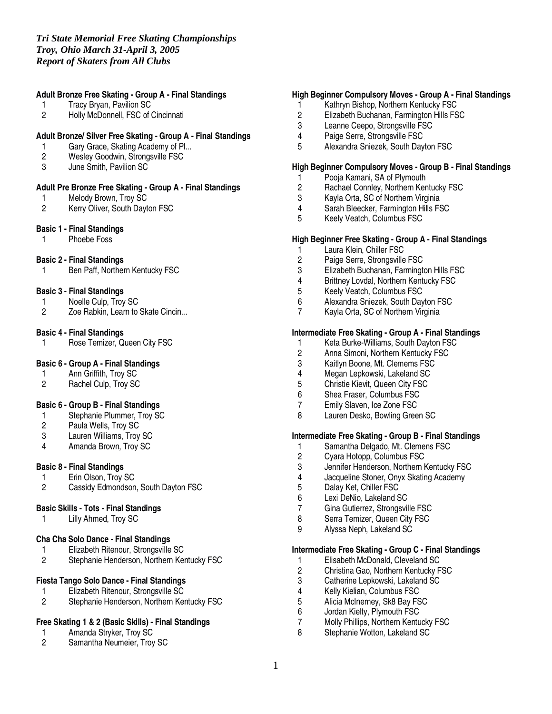# **Adult Bronze Free Skating - Group A - Final Standings**

- 1 Tracy Bryan, Pavilion SC
- 2 Holly McDonnell, FSC of Cincinnati

## **Adult Bronze/ Silver Free Skating - Group A - Final Standings**

- 1 Gary Grace, Skating Academy of Pl...<br>2 Wesley Goodwin, Strongsville FSC
- 2 Wesley Goodwin, Strongsville FSC
- 3 June Smith, Pavilion SC

#### **Adult Pre Bronze Free Skating - Group A - Final Standings**

- 1 Melody Brown, Troy SC<br>2 Kerry Oliver, South Dayt
- Kerry Oliver, South Dayton FSC

#### **Basic 1 - Final Standings**

1 Phoebe Foss

#### **Basic 2 - Final Standings**

1 Ben Paff, Northern Kentucky FSC

#### **Basic 3 - Final Standings**

- 1 Noelle Culp, Troy SC<br>2 Zoe Rabkin. Learn to
- Zoe Rabkin, Learn to Skate Cincin...

## **Basic 4 - Final Standings**

1 Rose Temizer, Queen City FSC

## **Basic 6 - Group A - Final Standings**

- 1 Ann Griffith, Troy SC<br>2 Rachel Culp. Troy SC
- Rachel Culp, Troy SC

## **Basic 6 - Group B - Final Standings**

- 1 Stephanie Plummer, Troy SC<br>2 Paula Wells, Troy SC
- 2 Paula Wells, Troy SC<br>3 Lauren Williams. Trov
- 3 Lauren Williams, Troy SC
- 4 Amanda Brown, Troy SC

#### **Basic 8 - Final Standings**

- 1 Erin Olson, Troy SC<br>2 Cassidy Edmondson
- Cassidy Edmondson, South Dayton FSC

#### **Basic Skills - Tots - Final Standings**

1 Lilly Ahmed, Troy SC

#### **Cha Cha Solo Dance - Final Standings**

- 1 Elizabeth Ritenour, Strongsville SC<br>2 Stephanie Henderson, Northern Ker
- Stephanie Henderson, Northern Kentucky FSC

#### **Fiesta Tango Solo Dance - Final Standings**

- 1 Elizabeth Ritenour, Strongsville SC<br>2 Stephanie Henderson, Northern Ker
- Stephanie Henderson, Northern Kentucky FSC

#### **Free Skating 1 & 2 (Basic Skills) - Final Standings**

- 1 Amanda Stryker, Troy SC<br>2 Samantha Neumeier. Trov
- Samantha Neumeier, Troy SC

## **High Beginner Compulsory Moves - Group A - Final Standings**

- 1 Kathryn Bishop, Northern Kentucky FSC
- 2 Elizabeth Buchanan, Farmington Hills FSC<br>3 Leanne Ceepo. Strongsville FSC
- Leanne Ceepo, Strongsville FSC
- 4 Paige Serre, Strongsville FSC
- 5 Alexandra Sniezek, South Dayton FSC

## **High Beginner Compulsory Moves - Group B - Final Standings**

- 1 Pooja Kamani, SA of Plymouth
- 2 Rachael Connley, Northern Kentucky FSC<br>3 Kavla Orta, SC of Northern Virginia
- 3 Kayla Orta, SC of Northern Virginia
- 4 Sarah Bleecker, Farmington Hills FSC<br>5 Keelv Veatch. Columbus FSC
- 5 Keely Veatch, Columbus FSC

## **High Beginner Free Skating - Group A - Final Standings**

- 1 Laura Klein, Chiller FSC<br>2 Paige Serre, Strongsville
- Paige Serre, Strongsville FSC
- 3 Elizabeth Buchanan, Farmington Hills FSC
- 4 Brittney Lovdal, Northern Kentucky FSC
- 5 Keely Veatch, Columbus FSC
- 6 Alexandra Sniezek, South Dayton FSC
- 7 Kayla Orta, SC of Northern Virginia

#### **Intermediate Free Skating - Group A - Final Standings**

- 1 Keta Burke-Williams, South Dayton FSC<br>2 Anna Simoni, Northern Kentucky FSC
- 2 Anna Simoni, Northern Kentucky FSC<br>3 Kaitlyn Boone. Mt. Clemems FSC
- 3 Kaitlyn Boone, Mt. Clemems FSC<br>4 Megan Lepkowski. Lakeland SC
- Megan Lepkowski, Lakeland SC
- 5 Christie Kievit, Queen City FSC
- 6 Shea Fraser, Columbus FSC
- 7 Emily Slaven, Ice Zone FSC
- 8 Lauren Desko, Bowling Green SC

## **Intermediate Free Skating - Group B - Final Standings**

- 1 Samantha Delgado, Mt. Clemens FSC<br>2 Cyara Hotopp, Columbus FSC
- 2 Cyara Hotopp, Columbus FSC<br>3 Jennifer Henderson. Northern h
- 3 Jennifer Henderson, Northern Kentucky FSC
- 4 Jacqueline Stoner, Onyx Skating Academy
- Dalay Ket, Chiller FSC
- 6 Lexi DeNio, Lakeland SC
- Gina Gutierrez, Strongsville FSC
- 8 Serra Temizer, Queen City FSC
- 9 Alyssa Neph, Lakeland SC

#### **Intermediate Free Skating - Group C - Final Standings**

- 1 Elisabeth McDonald, Cleveland SC<br>2 Christina Gao, Northern Kentucky F
- 2 Christina Gao, Northern Kentucky FSC
- 3 Catherine Lepkowski, Lakeland SC<br>4 Kelly Kielian, Columbus FSC
- 4 Kelly Kielian, Columbus FSC<br>5 Alicia McInernev, Sk8 Bav FS
- 5 Alicia McInerney, Sk8 Bay FSC<br>6 Jordan Kielty, Plymouth FSC
- Jordan Kielty, Plymouth FSC
- 7 Molly Phillips, Northern Kentucky FSC<br>8 Stephanie Wotton, Lakeland SC
- Stephanie Wotton, Lakeland SC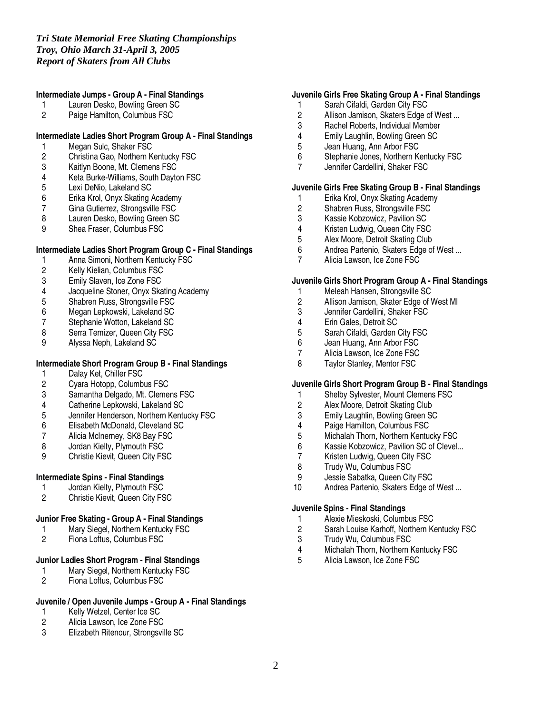## **Intermediate Jumps - Group A - Final Standings**

- 1 Lauren Desko, Bowling Green SC<br>2 Paige Hamilton. Columbus FSC
- Paige Hamilton, Columbus FSC

## **Intermediate Ladies Short Program Group A - Final Standings**

- 1 Megan Sulc, Shaker FSC<br>2 Christina Gao, Northern K
- 2 Christina Gao, Northern Kentucky FSC
- 3 Kaitlyn Boone, Mt. Clemens FSC
- 4 Keta Burke-Williams, South Dayton FSC
- 5 Lexi DeNio, Lakeland SC<br>6 Erika Krol, Onyx Skating
- 6 Erika Krol, Onyx Skating Academy
- Gina Gutierrez, Strongsville FSC
- 8 Lauren Desko, Bowling Green SC<br>9 Shea Fraser. Columbus FSC
- Shea Fraser, Columbus FSC

#### **Intermediate Ladies Short Program Group C - Final Standings**

- 1 Anna Simoni, Northern Kentucky FSC<br>2 Kelly Kielian, Columbus FSC
- 2 Kelly Kielian, Columbus FSC<br>3 Emily Slaven, Ice Zone FSC
- Emily Slaven, Ice Zone FSC
- 4 Jacqueline Stoner, Onyx Skating Academy
- 5 Shabren Russ, Strongsville FSC<br>6 Megan Lepkowski, Lakeland SC
- 6 Megan Lepkowski, Lakeland SC
- 7 Stephanie Wotton, Lakeland SC<br>8 Serra Temizer, Queen City FSC
- Serra Temizer, Queen City FSC
- 9 Alyssa Neph, Lakeland SC

# **Intermediate Short Program Group B - Final Standings**

- 1 Dalay Ket, Chiller FSC<br>2 Cyara Hotopp, Columbi
- 2 Cyara Hotopp, Columbus FSC
- Samantha Delgado, Mt. Clemens FSC
- 4 Catherine Lepkowski, Lakeland SC
- 5 Jennifer Henderson, Northern Kentucky FSC
- 6 Elisabeth McDonald, Cleveland SC<br>7 Alicia McInernev, SK8 Bay FSC
- 7 Alicia McInerney, SK8 Bay FSC<br>8 Jordan Kielty, Plymouth FSC
- Jordan Kielty, Plymouth FSC
- 9 Christie Kievit, Queen City FSC

## **Intermediate Spins - Final Standings**

- 1 Jordan Kielty, Plymouth FSC<br>2 Christie Kievit. Queen City FS
- 2 Christie Kievit, Queen City FSC

### **Junior Free Skating - Group A - Final Standings**

- 1 Mary Siegel, Northern Kentucky FSC<br>2 Fiona Loftus. Columbus FSC
- Fiona Loftus, Columbus FSC

# **Junior Ladies Short Program - Final Standings**

- 1 Mary Siegel, Northern Kentucky FSC<br>2 Fiona Loftus, Columbus FSC
- Fiona Loftus, Columbus FSC

## **Juvenile / Open Juvenile Jumps - Group A - Final Standings**

- 1 Kelly Wetzel, Center Ice SC<br>2 Alicia Lawson, Ice Zone FSC
- 2 Alicia Lawson, Ice Zone FSC<br>3 Elizabeth Ritenour. Strongsvil
- 3 Elizabeth Ritenour, Strongsville SC

# **Juvenile Girls Free Skating Group A - Final Standings**

- 1 Sarah Cifaldi, Garden City FSC
- 2 Allison Jamison, Skaters Edge of West ...<br>3 Rachel Roberts. Individual Member
- Rachel Roberts, Individual Member
- 4 Emily Laughlin, Bowling Green SC<br>5 Jean Huang, Ann Arbor FSC
- 5 Jean Huang, Ann Arbor FSC<br>6 Stephanie Jones, Northern K
- Stephanie Jones, Northern Kentucky FSC
- 7 Jennifer Cardellini, Shaker FSC

## **Juvenile Girls Free Skating Group B - Final Standings**

- 1 Erika Krol, Onyx Skating Academy<br>2 Shabren Russ, Strongsville FSC
- 2 Shabren Russ, Strongsville FSC<br>3 Kassie Kobzowicz, Pavilion SC
- 3 Kassie Kobzowicz, Pavilion SC<br>4 Kristen Ludwig, Queen City FSC
- 4 Kristen Ludwig, Queen City FSC<br>5 Alex Moore, Detroit Skating Club
- Alex Moore, Detroit Skating Club
- 6 Andrea Partenio, Skaters Edge of West ...<br>7 Alicia Lawson, Ice Zone FSC
- Alicia Lawson, Ice Zone FSC

#### **Juvenile Girls Short Program Group A - Final Standings**

- 1 Meleah Hansen, Strongsville SC
- 2 Allison Jamison, Skater Edge of West MI
- 3 Jennifer Cardellini, Shaker FSC<br>4 Erin Gales. Detroit SC
- 4 Erin Gales, Detroit SC<br>5 Sarah Cifaldi, Garden (
- 5 Sarah Cifaldi, Garden City FSC<br>6 Jean Huang, Ann Arbor FSC
- Jean Huang, Ann Arbor FSC
- 7 Alicia Lawson, Ice Zone FSC<br>8 Tavlor Stanlev. Mentor FSC
- Taylor Stanley, Mentor FSC

#### **Juvenile Girls Short Program Group B - Final Standings**

- 1 Shelby Sylvester, Mount Clemens FSC
- 2 Alex Moore, Detroit Skating Club
- 3 Emily Laughlin, Bowling Green SC
- 
- 4 Paige Hamilton, Columbus FSC<br>5 Michalah Thorn, Northern Kentu
- 5 Michalah Thorn, Northern Kentucky FSC<br>6 Kassie Kobzowicz, Pavilion SC of Clevel. 6 Kassie Kobzowicz, Pavilion SC of Clevel...<br>7 Kristen Ludwig. Queen City FSC
- 7 Kristen Ludwig, Queen City FSC<br>8 Trudy Wu. Columbus FSC
- 8 Trudy Wu, Columbus FSC<br>9 Jessie Sabatka, Queen Cit
- Jessie Sabatka, Queen City FSC
- 10 Andrea Partenio, Skaters Edge of West ...

#### **Juvenile Spins - Final Standings**

- 1 Alexie Mieskoski, Columbus FSC
- 2 Sarah Louise Karhoff, Northern Kentucky FSC<br>3 Trudy Wu. Columbus FSC
- 3 Trudy Wu, Columbus FSC<br>4 Michalah Thorn, Northern H
- 4 Michalah Thorn, Northern Kentucky FSC<br>5 Alicia Lawson, Ice Zone FSC
- 5 Alicia Lawson, Ice Zone FSC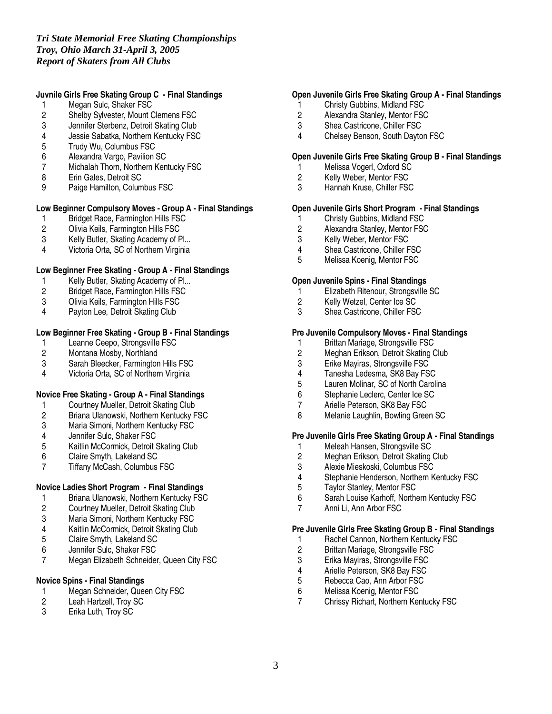# *Tri State Memorial Free Skating Championships Troy, Ohio March 31-April 3, 2005 Report of Skaters from All Clubs*

# **Juvnile Girls Free Skating Group C - Final Standings**

- 1 Megan Sulc, Shaker FSC
- 2 Shelby Sylvester, Mount Clemens FSC<br>3 Jennifer Sterbenz, Detroit Skating Club
- Jennifer Sterbenz, Detroit Skating Club
- 4 Jessie Sabatka, Northern Kentucky FSC
- 5 Trudy Wu, Columbus FSC<br>6 Alexandra Vargo, Pavilion
- 6 Alexandra Vargo, Pavilion SC
- 7 Michalah Thorn, Northern Kentucky FSC
- 8 Erin Gales, Detroit SC
- 9 Paige Hamilton, Columbus FSC

# **Low Beginner Compulsory Moves - Group A - Final Standings**

- 1 Bridget Race, Farmington Hills FSC<br>2 Olivia Keils, Farmington Hills FSC
- 2 Olivia Keils, Farmington Hills FSC<br>3 Kelly Butler. Skating Academy of P
- Kelly Butler, Skating Academy of Pl...
- 4 Victoria Orta, SC of Northern Virginia

# **Low Beginner Free Skating - Group A - Final Standings**

- 1 Kelly Butler, Skating Academy of Pl...
- 2 Bridget Race, Farmington Hills FSC
- 3 Olivia Keils, Farmington Hills FSC
- 4 Payton Lee, Detroit Skating Club

# **Low Beginner Free Skating - Group B - Final Standings**

- 1 Leanne Ceepo, Strongsville FSC<br>2 Montana Mosby, Northland
- 2 Montana Mosby, Northland
- 3 Sarah Bleecker, Farmington Hills FSC<br>4 Victoria Orta. SC of Northern Virginia
- Victoria Orta, SC of Northern Virginia

## **Novice Free Skating - Group A - Final Standings**

- 1 Courtney Mueller, Detroit Skating Club
- 2 Briana Ulanowski, Northern Kentucky FSC
- 3 Maria Simoni, Northern Kentucky FSC<br>4 Jennifer Sulc. Shaker FSC
- 4 Jennifer Sulc, Shaker FSC<br>5 Kaitlin McCormick, Detroit 9
- 5 Kaitlin McCormick, Detroit Skating Club
- 6 Claire Smyth, Lakeland SC<br>7 Tiffany McCash. Columbus
- 7 Tiffany McCash, Columbus FSC

## **Novice Ladies Short Program - Final Standings**

- 1 Briana Ulanowski, Northern Kentucky FSC<br>2 Courtney Mueller, Detroit Skating Club
- 2 Courtney Mueller, Detroit Skating Club<br>3 Maria Simoni, Northern Kentucky FSC
- Maria Simoni, Northern Kentucky FSC
- 4 Kaitlin McCormick, Detroit Skating Club<br>5 Claire Smyth, Lakeland SC
- 5 Claire Smyth, Lakeland SC
- 6 Jennifer Sulc, Shaker FSC
- 7 Megan Elizabeth Schneider, Queen City FSC

# **Novice Spins - Final Standings**

- 1 Megan Schneider, Queen City FSC<br>2 Leah Hartzell. Trov SC
- 2 Leah Hartzell, Troy SC<br>3 Erika Luth. Trov SC
- Erika Luth, Troy SC

## **Open Juvenile Girls Free Skating Group A - Final Standings**

- 1 Christy Gubbins, Midland FSC
- 2 Alexandra Stanley, Mentor FSC<br>3 Shea Castricone. Chiller FSC
- Shea Castricone, Chiller FSC
- 4 Chelsey Benson, South Dayton FSC

## **Open Juvenile Girls Free Skating Group B - Final Standings**

- 1 Melissa Vogerl, Oxford SC
- 2 Kelly Weber, Mentor FSC
- 3 Hannah Kruse, Chiller FSC

# **Open Juvenile Girls Short Program - Final Standings**

- 1 Christy Gubbins, Midland FSC<br>2 Alexandra Stanley, Mentor FSC
- 2 Alexandra Stanley, Mentor FSC<br>3 Kelly Weber, Mentor FSC
- Kelly Weber, Mentor FSC
- 4 Shea Castricone, Chiller FSC<br>5 Melissa Koenig. Mentor FSC
- 5 Melissa Koenig, Mentor FSC

#### **Open Juvenile Spins - Final Standings**

- 1 Elizabeth Ritenour, Strongsville SC
- 2 Kelly Wetzel, Center Ice SC
- 3 Shea Castricone, Chiller FSC

# **Pre Juvenile Compulsory Moves - Final Standings**

- 
- 1 Brittan Mariage, Strongsville FSC<br>2 Meghan Erikson, Detroit Skating ( 2 Meghan Erikson, Detroit Skating Club<br>3 Erike Maviras. Strongsville FSC
- 3 Erike Mayiras, Strongsville FSC<br>4 Tanesha Ledesma. SK8 Bav FS
- 
- 4 Tanesha Ledesma, SK8 Bay FSC Lauren Molinar, SC of North Carolina
- 6 Stephanie Leclerc, Center Ice SC
- 7 Arielle Peterson, SK8 Bay FSC
- 8 Melanie Laughlin, Bowling Green SC

# **Pre Juvenile Girls Free Skating Group A - Final Standings**

- 1 Meleah Hansen, Strongsville SC<br>2 Meghan Erikson, Detroit Skating
- 2 Meghan Erikson, Detroit Skating Club<br>3 Alexie Mieskoski, Columbus FSC
- 3 Alexie Mieskoski, Columbus FSC<br>4 Stephanie Henderson, Northern K
- 4 Stephanie Henderson, Northern Kentucky FSC<br>5 Tavlor Stanlev. Mentor FSC
- Taylor Stanley, Mentor FSC
- 6 Sarah Louise Karhoff, Northern Kentucky FSC
- Anni Li, Ann Arbor FSC

#### **Pre Juvenile Girls Free Skating Group B - Final Standings**

- 1 Rachel Cannon, Northern Kentucky FSC
- 2 Brittan Mariage, Strongsville FSC
- 
- 3 Erika Mayiras, Strongsville FSC
- 4 Arielle Peterson, SK8 Bay FSC<br>5 Rebecca Cao, Ann Arbor FSC
- 5 Rebecca Cao, Ann Arbor FSC<br>6 Melissa Koenig, Mentor FSC 6 Melissa Koenig, Mentor FSC<br>7 Chrissy Richart, Northern Ker
- 7 Chrissy Richart, Northern Kentucky FSC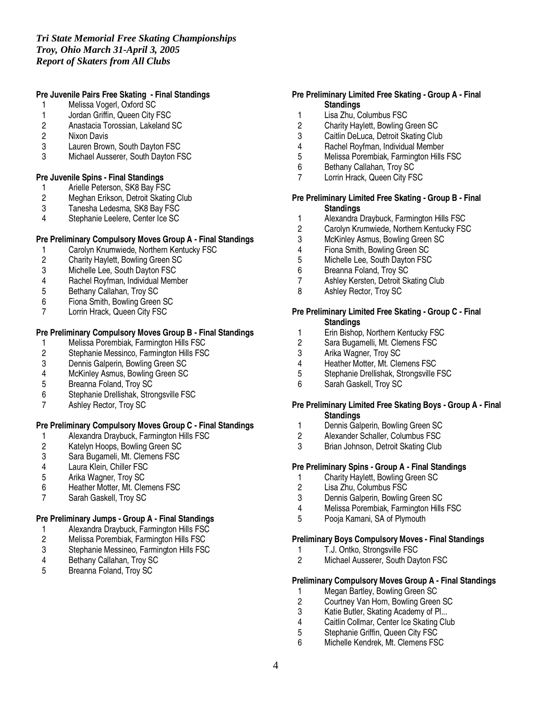# **Pre Juvenile Pairs Free Skating - Final Standings**

- 1 Melissa Vogerl, Oxford SC
- 1 Jordan Griffin, Queen City FSC<br>2 Anastacia Torossian, Lakeland 9
- 2 Anastacia Torossian, Lakeland SC
- Nixon Davis
- 3 Lauren Brown, South Dayton FSC<br>3 Michael Ausserer, South Dayton FS
- Michael Ausserer, South Dayton FSC

#### **Pre Juvenile Spins - Final Standings**

- 1 Arielle Peterson, SK8 Bay FSC<br>2 Meghan Erikson, Detroit Skating
- 2 Meghan Erikson, Detroit Skating Club<br>3 Tanesha Ledesma, SK8 Bay FSC
- Tanesha Ledesma, SK8 Bay FSC
- 4 Stephanie Leelere, Center Ice SC

# **Pre Preliminary Compulsory Moves Group A - Final Standings**

- 1 Carolyn Knumwiede, Northern Kentucky FSC<br>2 Charity Haylett, Bowling Green SC
- 2 Charity Haylett, Bowling Green SC<br>3 Michelle Lee, South Dayton FSC
- Michelle Lee, South Dayton FSC
- 4 Rachel Royfman, Individual Member
- 5 Bethany Callahan, Troy SC
- 6 Fiona Smith, Bowling Green SC
- 7 Lorrin Hrack, Queen City FSC

# **Pre Preliminary Compulsory Moves Group B - Final Standings**

- 1 Melissa Porembiak, Farmington Hills FSC<br>2 Stephanie Messinco, Farmington Hills FSC
- 2 Stephanie Messinco, Farmington Hills FSC<br>3 Dennis Galperin. Bowling Green SC
- 
- 3 Dennis Galperin, Bowling Green SC<br>4 McKinley Asmus, Bowling Green SC McKinley Asmus, Bowling Green SC
- 5 Breanna Foland, Troy SC
- 6 Stephanie Drellishak, Strongsville FSC
- 7 Ashley Rector, Troy SC

## **Pre Preliminary Compulsory Moves Group C - Final Standings**

- 1 Alexandra Draybuck, Farmington Hills FSC<br>2 Katelyn Hoops, Bowling Green SC
- 2 Katelyn Hoops, Bowling Green SC<br>3 Sara Bugameli, Mt. Clemens FSC
- 3 Sara Bugameli, Mt. Clemens FSC<br>4 Laura Klein. Chiller FSC
- 4 Laura Klein, Chiller FSC<br>5 Arika Wagner, Trov SC
- 5 Arika Wagner, Troy SC
- 6 Heather Motter, Mt. Clemens FSC
- 7 Sarah Gaskell, Troy SC

## **Pre Preliminary Jumps - Group A - Final Standings**

- 1 Alexandra Draybuck, Farmington Hills FSC
- 2 Melissa Porembiak, Farmington Hills FSC<br>3 Stephanie Messineo, Farmington Hills FSC
- 3 Stephanie Messineo, Farmington Hills FSC
- 4 Bethany Callahan, Troy SC<br>5 Breanna Foland. Troy SC
- Breanna Foland, Troy SC

## **Pre Preliminary Limited Free Skating - Group A - Final Standings**

- 1 Lisa Zhu, Columbus FSC<br>2 Charity Havlett. Bowling G
- 2 Charity Haylett, Bowling Green SC
- 3 Caitlin DeLuca, Detroit Skating Club
- 4 Rachel Royfman, Individual Member<br>5 Melissa Porembiak. Farmington Hills
- 5 Melissa Porembiak, Farmington Hills FSC
- 6 Bethany Callahan, Troy SC
- 7 Lorrin Hrack, Queen City FSC

## **Pre Preliminary Limited Free Skating - Group B - Final Standings**

- 1 Alexandra Draybuck, Farmington Hills FSC<br>2 Carolyn Krumwiede. Northern Kentucky FS
- Carolyn Krumwiede, Northern Kentucky FSC
- 3 McKinley Asmus, Bowling Green SC
- 4 Fiona Smith, Bowling Green SC<br>5 Michelle Lee. South Davton FSC
- Michelle Lee, South Dayton FSC
- 6 Breanna Foland, Troy SC
- 7 Ashley Kersten, Detroit Skating Club
- 8 Ashley Rector, Troy SC

#### **Pre Preliminary Limited Free Skating - Group C - Final Standings**

- 1 Erin Bishop, Northern Kentucky FSC
- 2 Sara Bugamelli, Mt. Clemens FSC
- 3 Arika Wagner, Troy SC<br>4 Heather Motter Mt Cle
- 
- 4 Heather Motter, Mt. Clemens FSC<br>5 Stephanie Drellishak. Strongsville I 5 Stephanie Drellishak, Strongsville FSC
- 6 Sarah Gaskell, Troy SC

#### **Pre Preliminary Limited Free Skating Boys - Group A - Final Standings**

- 1 Dennis Galperin, Bowling Green SC<br>2 Alexander Schaller. Columbus FSC
- 2 Alexander Schaller, Columbus FSC<br>3 Brian Johnson. Detroit Skating Club
- Brian Johnson, Detroit Skating Club

## **Pre Preliminary Spins - Group A - Final Standings**

- 1 Charity Haylett, Bowling Green SC<br>2 Lisa Zhu. Columbus FSC
- Lisa Zhu, Columbus FSC
- 3 Dennis Galperin, Bowling Green SC
- 4 Melissa Porembiak, Farmington Hills FSC
- 5 Pooja Kamani, SA of Plymouth

#### **Preliminary Boys Compulsory Moves - Final Standings**

- 1 T.J. Ontko, Strongsville FSC<br>2 Michael Ausserer, South Dav
- Michael Ausserer, South Dayton FSC

## **Preliminary Compulsory Moves Group A - Final Standings**

- 1 Megan Bartley, Bowling Green SC<br>2 Courtney Van Horn, Bowling Green
- 2 Courtney Van Horn, Bowling Green SC<br>3 Katie Butler. Skating Academy of Pl...
- 3 Katie Butler, Skating Academy of Pl...<br>4 Caitlin Collmar, Center Ice Skating Clu
- 4 Caitlin Collmar, Center Ice Skating Club<br>5 Stephanie Griffin. Queen City FSC
- 5 Stephanie Griffin, Queen City FSC<br>6 Michelle Kendrek Mt Clemens FS
- Michelle Kendrek, Mt. Clemens FSC